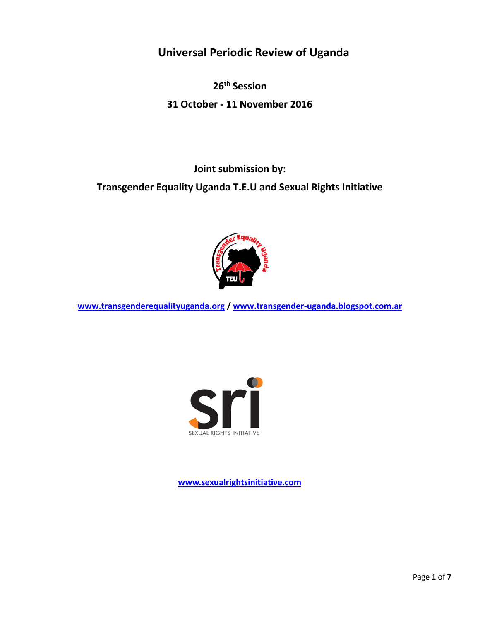**Universal Periodic Review of Uganda**

**26th Session 31 October - 11 November 2016**

**Joint submission by:**

**Transgender Equality Uganda T.E.U and Sexual Rights Initiative**



**[www.transgenderequalityuganda.org](http://www.transgenderequalityuganda.org/) / [www.transgender-uganda.blogspot.com.ar](http://www.transgender-uganda.blogspot.com.ar/)**



**[www.sexualrightsinitiative.com](http://www.sexualrightsinitiative.com/)**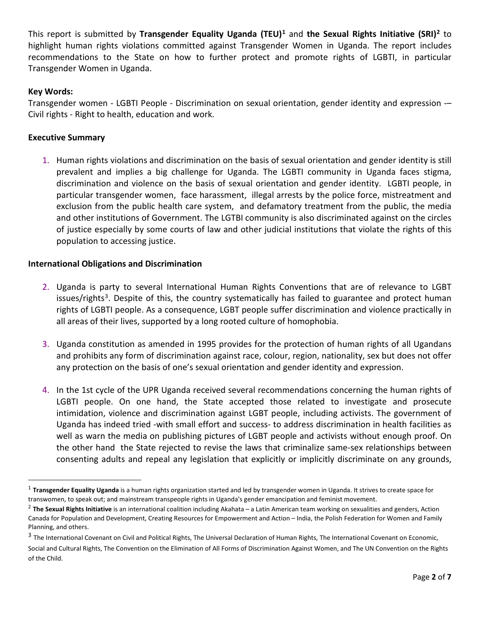This report is submitted by **Transgender Equality Uganda (TEU)[1](#page-1-0)** and **the Sexual Rights Initiative (SRI)[2](#page-1-1)** to highlight human rights violations committed against Transgender Women in Uganda. The report includes recommendations to the State on how to further protect and promote rights of LGBTI, in particular Transgender Women in Uganda.

# **Key Words:**

Transgender women - LGBTI People - Discrimination on sexual orientation, gender identity and expression -– Civil rights - Right to health, education and work.

## **Executive Summary**

1. Human rights violations and discrimination on the basis of sexual orientation and gender identity is still prevalent and implies a big challenge for Uganda. The LGBTI community in Uganda faces stigma, discrimination and violence on the basis of sexual orientation and gender identity. LGBTI people, in particular transgender women, face harassment, illegal arrests by the police force, mistreatment and exclusion from the public health care system, and defamatory treatment from the public, the media and other institutions of Government. The LGTBI community is also discriminated against on the circles of justice especially by some courts of law and other judicial institutions that violate the rights of this population to accessing justice.

#### **International Obligations and Discrimination**

- 2. Uganda is party to several International Human Rights Conventions that are of relevance to LGBT issues/rights<sup>[3](#page-1-2)</sup>. Despite of this, the country systematically has failed to guarantee and protect human rights of LGBTI people. As a consequence, LGBT people suffer discrimination and violence practically in all areas of their lives, supported by a long rooted culture of homophobia.
- 3. Uganda constitution as amended in 1995 provides for the protection of human rights of all Ugandans and prohibits any form of discrimination against race, colour, region, nationality, sex but does not offer any protection on the basis of one's sexual orientation and gender identity and expression.
- 4. In the 1st cycle of the UPR Uganda received several recommendations concerning the human rights of LGBTI people. On one hand, the State accepted those related to investigate and prosecute intimidation, violence and discrimination against LGBT people, including activists. The government of Uganda has indeed tried -with small effort and success- to address discrimination in health facilities as well as warn the media on publishing pictures of LGBT people and activists without enough proof. On the other hand the State rejected to revise the laws that criminalize same-sex relationships between consenting adults and repeal any legislation that explicitly or implicitly discriminate on any grounds,

<span id="page-1-0"></span><sup>&</sup>lt;sup>1</sup> Transgender Equality Uganda is a human rights organization started and led by transgender women in Uganda. It strives to create space for transwomen, to speak out; and mainstream transpeople rights in Uganda's gender emancipation and feminist movement.

<span id="page-1-1"></span><sup>2</sup> **The Sexual Rights Initiative** is an international coalition including Akahata – a Latin American team working on sexualities and genders, Action Canada for Population and Development, Creating Resources for Empowerment and Action – India, the Polish Federation for Women and Family Planning, and others.

<span id="page-1-2"></span><sup>&</sup>lt;sup>3</sup> The International Covenant on Civil and Political Rights, The Universal Declaration of Human Rights, The International Covenant on Economic,

Social and Cultural Rights, The Convention on the Elimination of All Forms of Discrimination Against Women, and The UN Convention on the Rights of the Child.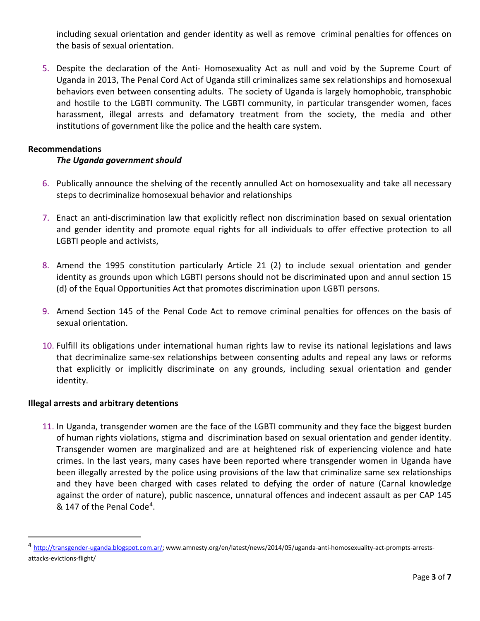including sexual orientation and gender identity as well as remove criminal penalties for offences on the basis of sexual orientation.

5. Despite the declaration of the Anti- Homosexuality Act as null and void by the Supreme Court of Uganda in 2013, The Penal Cord Act of Uganda still criminalizes same sex relationships and homosexual behaviors even between consenting adults. The society of Uganda is largely homophobic, transphobic and hostile to the LGBTI community. The LGBTI community, in particular transgender women, faces harassment, illegal arrests and defamatory treatment from the society, the media and other institutions of government like the police and the health care system.

## **Recommendations**

## *The Uganda government should*

- 6. Publically announce the shelving of the recently annulled Act on homosexuality and take all necessary steps to decriminalize homosexual behavior and relationships
- 7. Enact an anti-discrimination law that explicitly reflect non discrimination based on sexual orientation and gender identity and promote equal rights for all individuals to offer effective protection to all LGBTI people and activists,
- 8. Amend the 1995 constitution particularly Article 21 (2) to include sexual orientation and gender identity as grounds upon which LGBTI persons should not be discriminated upon and annul section 15 (d) of the Equal Opportunities Act that promotes discrimination upon LGBTI persons.
- 9. Amend Section 145 of the Penal Code Act to remove criminal penalties for offences on the basis of sexual orientation.
- 10. Fulfill its obligations under international human rights law to revise its national legislations and laws that decriminalize same-sex relationships between consenting adults and repeal any laws or reforms that explicitly or implicitly discriminate on any grounds, including sexual orientation and gender identity.

#### **Illegal arrests and arbitrary detentions**

11. In Uganda, transgender women are the face of the LGBTI community and they face the biggest burden of human rights violations, stigma and discrimination based on sexual orientation and gender identity. Transgender women are marginalized and are at heightened risk of experiencing violence and hate crimes. In the last years, many cases have been reported where transgender women in Uganda have been illegally arrested by the police using provisions of the law that criminalize same sex relationships and they have been charged with cases related to defying the order of nature (Carnal knowledge against the order of nature), public nascence, unnatural offences and indecent assault as per CAP 145 & 147 of the Penal Code[4.](#page-2-0)

<span id="page-2-0"></span><sup>4</sup> [http://transgender-uganda.blogspot.com.ar/;](http://transgender-uganda.blogspot.com.ar/) www.amnesty.org/en/latest/news/2014/05/uganda-anti-homosexuality-act-prompts-arrestsattacks-evictions-flight/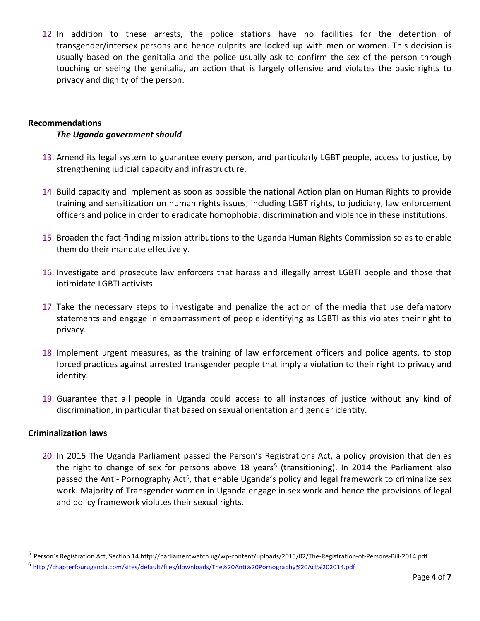12. In addition to these arrests, the police stations have no facilities for the detention of transgender/intersex persons and hence culprits are locked up with men or women. This decision is usually based on the genitalia and the police usually ask to confirm the sex of the person through touching or seeing the genitalia, an action that is largely offensive and violates the basic rights to privacy and dignity of the person.

## **Recommendations**

# *The Uganda government should*

- 13. Amend its legal system to guarantee every person, and particularly LGBT people, access to justice, by strengthening judicial capacity and infrastructure.
- 14. Build capacity and implement as soon as possible the national Action plan on Human Rights to provide training and sensitization on human rights issues, including LGBT rights, to judiciary, law enforcement officers and police in order to eradicate homophobia, discrimination and violence in these institutions.
- 15. Broaden the fact-finding mission attributions to the Uganda Human Rights Commission so as to enable them do their mandate effectively.
- 16. Investigate and prosecute law enforcers that harass and illegally arrest LGBTI people and those that intimidate LGBTI activists.
- 17. Take the necessary steps to investigate and penalize the action of the media that use defamatory statements and engage in embarrassment of people identifying as LGBTI as this violates their right to privacy.
- 18. Implement urgent measures, as the training of law enforcement officers and police agents, to stop forced practices against arrested transgender people that imply a violation to their right to privacy and identity.
- 19. Guarantee that all people in Uganda could access to all instances of justice without any kind of discrimination, in particular that based on sexual orientation and gender identity.

#### **Criminalization laws**

l

20. In 2015 The Uganda Parliament passed the Person's Registrations Act, a policy provision that denies the right to change of sex for persons above 18 years<sup>[5](#page-3-0)</sup> (transitioning). In 2014 the Parliament also passed the Anti- Pornography Act<sup>6</sup>, that enable Uganda's policy and legal framework to criminalize sex work. Majority of Transgender women in Uganda engage in sex work and hence the provisions of legal and policy framework violates their sexual rights.

<span id="page-3-0"></span><sup>5</sup> Person´s Registration Act, Section 1[4.http://parliamentwatch.ug/wp-content/uploads/2015/02/The-Registration-of-Persons-Bill-2014.pdf](http://parliamentwatch.ug/wp-content/uploads/2015/02/The-Registration-of-Persons-Bill-2014.pdf)

<span id="page-3-1"></span><sup>6</sup> <http://chapterfouruganda.com/sites/default/files/downloads/The%20Anti%20Pornography%20Act%202014.pdf>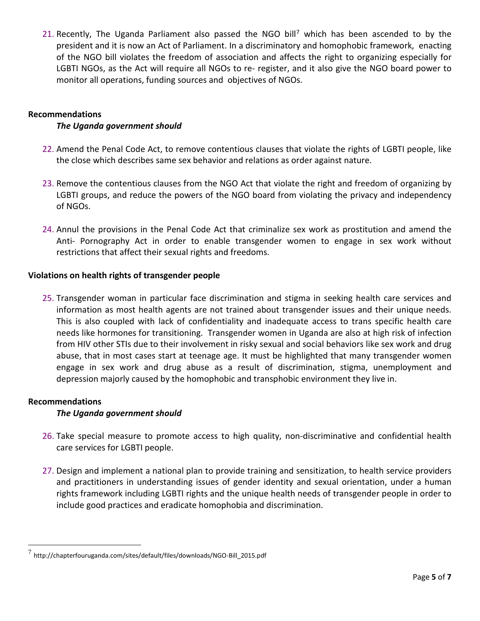21. Recently, The Uganda Parliament also passed the NGO bill<sup>[7](#page-4-0)</sup> which has been ascended to by the president and it is now an Act of Parliament. In a discriminatory and homophobic framework, enacting of the NGO bill violates the freedom of association and affects the right to organizing especially for LGBTI NGOs, as the Act will require all NGOs to re- register, and it also give the NGO board power to monitor all operations, funding sources and objectives of NGOs.

## **Recommendations**

## *The Uganda government should*

- 22. Amend the Penal Code Act, to remove contentious clauses that violate the rights of LGBTI people, like the close which describes same sex behavior and relations as order against nature.
- 23. Remove the contentious clauses from the NGO Act that violate the right and freedom of organizing by LGBTI groups, and reduce the powers of the NGO board from violating the privacy and independency of NGOs.
- 24. Annul the provisions in the Penal Code Act that criminalize sex work as prostitution and amend the Anti- Pornography Act in order to enable transgender women to engage in sex work without restrictions that affect their sexual rights and freedoms.

## **Violations on health rights of transgender people**

25. Transgender woman in particular face discrimination and stigma in seeking health care services and information as most health agents are not trained about transgender issues and their unique needs. This is also coupled with lack of confidentiality and inadequate access to trans specific health care needs like hormones for transitioning. Transgender women in Uganda are also at high risk of infection from HIV other STIs due to their involvement in risky sexual and social behaviors like sex work and drug abuse, that in most cases start at teenage age. It must be highlighted that many transgender women engage in sex work and drug abuse as a result of discrimination, stigma, unemployment and depression majorly caused by the homophobic and transphobic environment they live in.

#### **Recommendations**

 $\overline{a}$ 

# *The Uganda government should*

- 26. Take special measure to promote access to high quality, non-discriminative and confidential health care services for LGBTI people.
- 27. Design and implement a national plan to provide training and sensitization, to health service providers and practitioners in understanding issues of gender identity and sexual orientation, under a human rights framework including LGBTI rights and the unique health needs of transgender people in order to include good practices and eradicate homophobia and discrimination.

<span id="page-4-0"></span> $^7$  http://chapterfouruganda.com/sites/default/files/downloads/NGO-Bill\_2015.pdf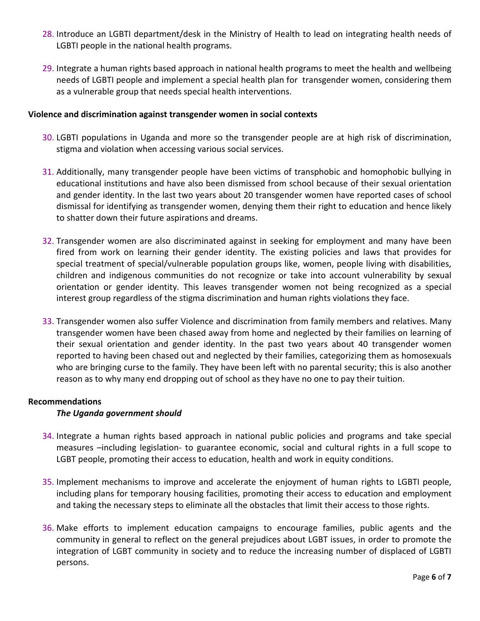- 28. Introduce an LGBTI department/desk in the Ministry of Health to lead on integrating health needs of LGBTI people in the national health programs.
- 29. Integrate a human rights based approach in national health programs to meet the health and wellbeing needs of LGBTI people and implement a special health plan for transgender women, considering them as a vulnerable group that needs special health interventions.

#### **Violence and discrimination against transgender women in social contexts**

- 30. LGBTI populations in Uganda and more so the transgender people are at high risk of discrimination, stigma and violation when accessing various social services.
- 31. Additionally, many transgender people have been victims of transphobic and homophobic bullying in educational institutions and have also been dismissed from school because of their sexual orientation and gender identity. In the last two years about 20 transgender women have reported cases of school dismissal for identifying as transgender women, denying them their right to education and hence likely to shatter down their future aspirations and dreams.
- 32. Transgender women are also discriminated against in seeking for employment and many have been fired from work on learning their gender identity. The existing policies and laws that provides for special treatment of special/vulnerable population groups like, women, people living with disabilities, children and indigenous communities do not recognize or take into account vulnerability by sexual orientation or gender identity. This leaves transgender women not being recognized as a special interest group regardless of the stigma discrimination and human rights violations they face.
- 33. Transgender women also suffer Violence and discrimination from family members and relatives. Many transgender women have been chased away from home and neglected by their families on learning of their sexual orientation and gender identity. In the past two years about 40 transgender women reported to having been chased out and neglected by their families, categorizing them as homosexuals who are bringing curse to the family. They have been left with no parental security; this is also another reason as to why many end dropping out of school as they have no one to pay their tuition.

#### **Recommendations**

#### *The Uganda government should*

- 34. Integrate a human rights based approach in national public policies and programs and take special measures –including legislation- to guarantee economic, social and cultural rights in a full scope to LGBT people, promoting their access to education, health and work in equity conditions.
- 35. Implement mechanisms to improve and accelerate the enjoyment of human rights to LGBTI people, including plans for temporary housing facilities, promoting their access to education and employment and taking the necessary steps to eliminate all the obstacles that limit their access to those rights.
- 36. Make efforts to implement education campaigns to encourage families, public agents and the community in general to reflect on the general prejudices about LGBT issues, in order to promote the integration of LGBT community in society and to reduce the increasing number of displaced of LGBTI persons.